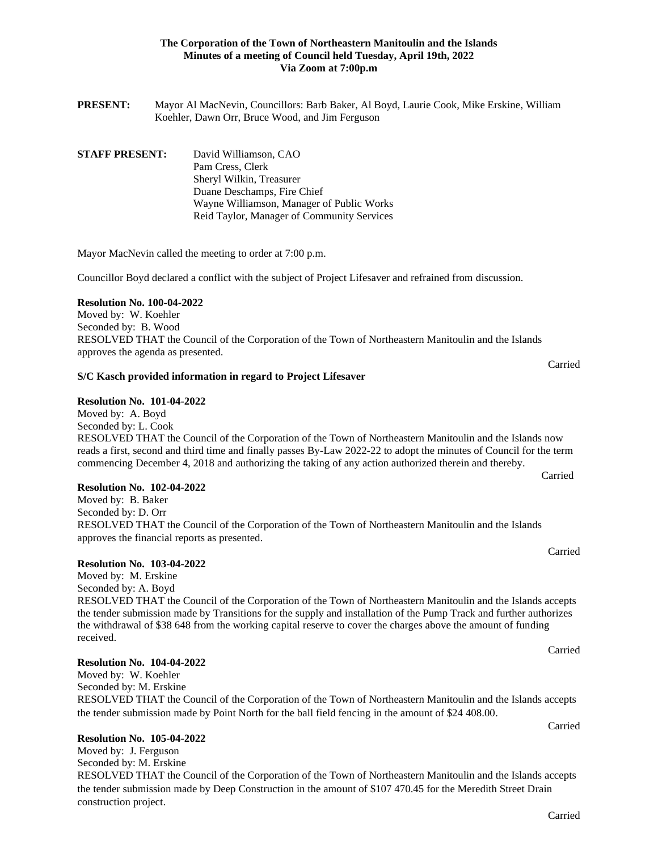### **The Corporation of the Town of Northeastern Manitoulin and the Islands Minutes of a meeting of Council held Tuesday, April 19th, 2022 Via Zoom at 7:00p.m**

**PRESENT:** Mayor Al MacNevin, Councillors: Barb Baker, Al Boyd, Laurie Cook, Mike Erskine, William Koehler, Dawn Orr, Bruce Wood, and Jim Ferguson

### **STAFF PRESENT:** David Williamson, CAO Pam Cress, Clerk Sheryl Wilkin, Treasurer Duane Deschamps, Fire Chief Wayne Williamson, Manager of Public Works Reid Taylor, Manager of Community Services

Mayor MacNevin called the meeting to order at 7:00 p.m.

Councillor Boyd declared a conflict with the subject of Project Lifesaver and refrained from discussion.

### **Resolution No. 100-04-2022**

Moved by: W. Koehler Seconded by: B. Wood RESOLVED THAT the Council of the Corporation of the Town of Northeastern Manitoulin and the Islands approves the agenda as presented.

#### **S/C Kasch provided information in regard to Project Lifesaver**

#### **Resolution No. 101-04-2022**

Moved by: A. Boyd Seconded by: L. Cook RESOLVED THAT the Council of the Corporation of the Town of Northeastern Manitoulin and the Islands now reads a first, second and third time and finally passes By-Law 2022-22 to adopt the minutes of Council for the term commencing December 4, 2018 and authorizing the taking of any action authorized therein and thereby.

#### **Resolution No. 102-04-2022**

Moved by: B. Baker Seconded by: D. Orr RESOLVED THAT the Council of the Corporation of the Town of Northeastern Manitoulin and the Islands approves the financial reports as presented.

#### **Resolution No. 103-04-2022**

Moved by: M. Erskine Seconded by: A. Boyd RESOLVED THAT the Council of the Corporation of the Town of Northeastern Manitoulin and the Islands accepts the tender submission made by Transitions for the supply and installation of the Pump Track and further authorizes the withdrawal of \$38 648 from the working capital reserve to cover the charges above the amount of funding received.

#### **Resolution No. 104-04-2022**

Moved by: W. Koehler Seconded by: M. Erskine RESOLVED THAT the Council of the Corporation of the Town of Northeastern Manitoulin and the Islands accepts the tender submission made by Point North for the ball field fencing in the amount of \$24 408.00.

#### **Resolution No. 105-04-2022**

Moved by: J. Ferguson Seconded by: M. Erskine RESOLVED THAT the Council of the Corporation of the Town of Northeastern Manitoulin and the Islands accepts the tender submission made by Deep Construction in the amount of \$107 470.45 for the Meredith Street Drain construction project.

Carried

Carried

Carried

Carried

Carried